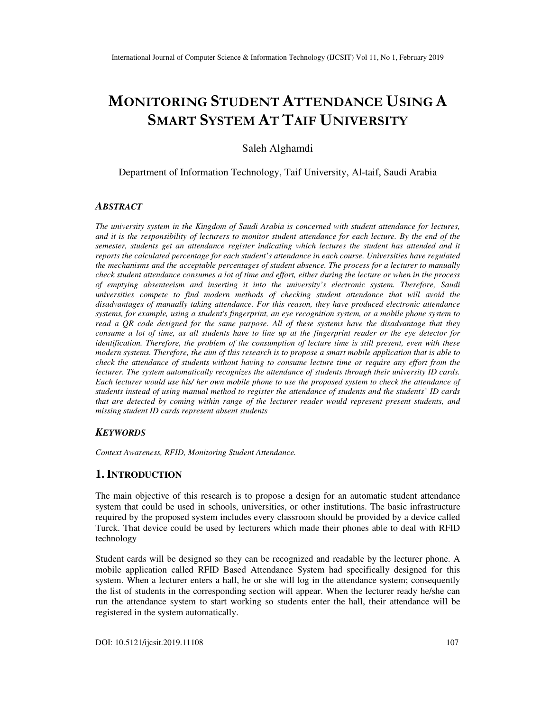# **MONITORING STUDENT ATTENDANCE USING A SMART SYSTEM AT TAIF UNIVERSITY**

Saleh Alghamdi

Department of Information Technology, Taif University, Al-taif, Saudi Arabia

## *ABSTRACT*

*The university system in the Kingdom of Saudi Arabia is concerned with student attendance for lectures, and it is the responsibility of lecturers to monitor student attendance for each lecture. By the end of the semester, students get an attendance register indicating which lectures the student has attended and it reports the calculated percentage for each student's attendance in each course. Universities have regulated the mechanisms and the acceptable percentages of student absence. The process for a lecturer to manually check student attendance consumes a lot of time and effort, either during the lecture or when in the process of emptying absenteeism and inserting it into the university's electronic system. Therefore, Saudi universities compete to find modern methods of checking student attendance that will avoid the disadvantages of manually taking attendance. For this reason, they have produced electronic attendance systems, for example, using a student's fingerprint, an eye recognition system, or a mobile phone system to read a QR code designed for the same purpose. All of these systems have the disadvantage that they consume a lot of time, as all students have to line up at the fingerprint reader or the eye detector for identification. Therefore, the problem of the consumption of lecture time is still present, even with these modern systems. Therefore, the aim of this research is to propose a smart mobile application that is able to check the attendance of students without having to consume lecture time or require any effort from the lecturer. The system automatically recognizes the attendance of students through their university ID cards. Each lecturer would use his/ her own mobile phone to use the proposed system to check the attendance of students instead of using manual method to register the attendance of students and the students' ID cards that are detected by coming within range of the lecturer reader would represent present students, and missing student ID cards represent absent students* 

#### *KEYWORDS*

*Context Awareness, RFID, Monitoring Student Attendance.* 

# **1. INTRODUCTION**

The main objective of this research is to propose a design for an automatic student attendance system that could be used in schools, universities, or other institutions. The basic infrastructure required by the proposed system includes every classroom should be provided by a device called Turck. That device could be used by lecturers which made their phones able to deal with RFID technology

Student cards will be designed so they can be recognized and readable by the lecturer phone. A mobile application called RFID Based Attendance System had specifically designed for this system. When a lecturer enters a hall, he or she will log in the attendance system; consequently the list of students in the corresponding section will appear. When the lecturer ready he/she can run the attendance system to start working so students enter the hall, their attendance will be registered in the system automatically.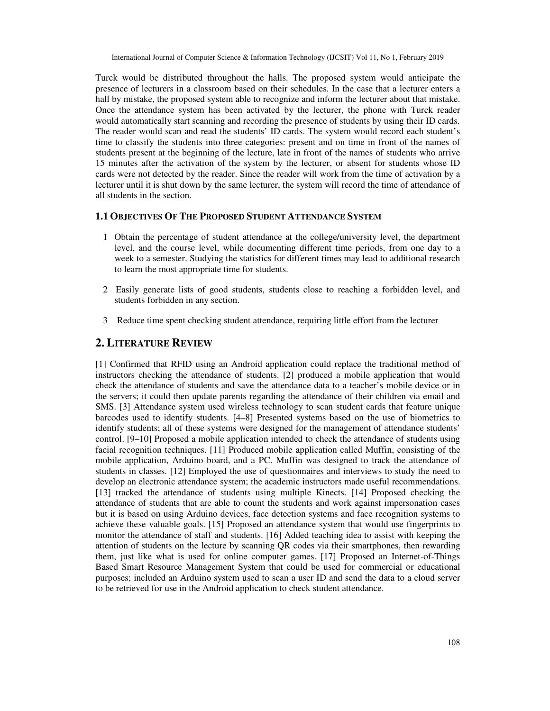Turck would be distributed throughout the halls. The proposed system would anticipate the presence of lecturers in a classroom based on their schedules. In the case that a lecturer enters a hall by mistake, the proposed system able to recognize and inform the lecturer about that mistake. Once the attendance system has been activated by the lecturer, the phone with Turck reader would automatically start scanning and recording the presence of students by using their ID cards. The reader would scan and read the students' ID cards. The system would record each student's time to classify the students into three categories: present and on time in front of the names of students present at the beginning of the lecture, late in front of the names of students who arrive 15 minutes after the activation of the system by the lecturer, or absent for students whose ID cards were not detected by the reader. Since the reader will work from the time of activation by a lecturer until it is shut down by the same lecturer, the system will record the time of attendance of all students in the section.

#### **1.1 OBJECTIVES OF THE PROPOSED STUDENT ATTENDANCE SYSTEM**

- 1 Obtain the percentage of student attendance at the college/university level, the department level, and the course level, while documenting different time periods, from one day to a week to a semester. Studying the statistics for different times may lead to additional research to learn the most appropriate time for students.
- 2 Easily generate lists of good students, students close to reaching a forbidden level, and students forbidden in any section.
- 3 Reduce time spent checking student attendance, requiring little effort from the lecturer

# **2. LITERATURE REVIEW**

[1] Confirmed that RFID using an Android application could replace the traditional method of instructors checking the attendance of students. [2] produced a mobile application that would check the attendance of students and save the attendance data to a teacher's mobile device or in the servers; it could then update parents regarding the attendance of their children via email and SMS. [3] Attendance system used wireless technology to scan student cards that feature unique barcodes used to identify students. [4–8] Presented systems based on the use of biometrics to identify students; all of these systems were designed for the management of attendance students' control. [9–10] Proposed a mobile application intended to check the attendance of students using facial recognition techniques. [11] Produced mobile application called Muffin, consisting of the mobile application, Arduino board, and a PC. Muffin was designed to track the attendance of students in classes. [12] Employed the use of questionnaires and interviews to study the need to develop an electronic attendance system; the academic instructors made useful recommendations. [13] tracked the attendance of students using multiple Kinects. [14] Proposed checking the attendance of students that are able to count the students and work against impersonation cases but it is based on using Arduino devices, face detection systems and face recognition systems to achieve these valuable goals. [15] Proposed an attendance system that would use fingerprints to monitor the attendance of staff and students. [16] Added teaching idea to assist with keeping the attention of students on the lecture by scanning QR codes via their smartphones, then rewarding them, just like what is used for online computer games. [17] Proposed an Internet-of-Things Based Smart Resource Management System that could be used for commercial or educational purposes; included an Arduino system used to scan a user ID and send the data to a cloud server to be retrieved for use in the Android application to check student attendance.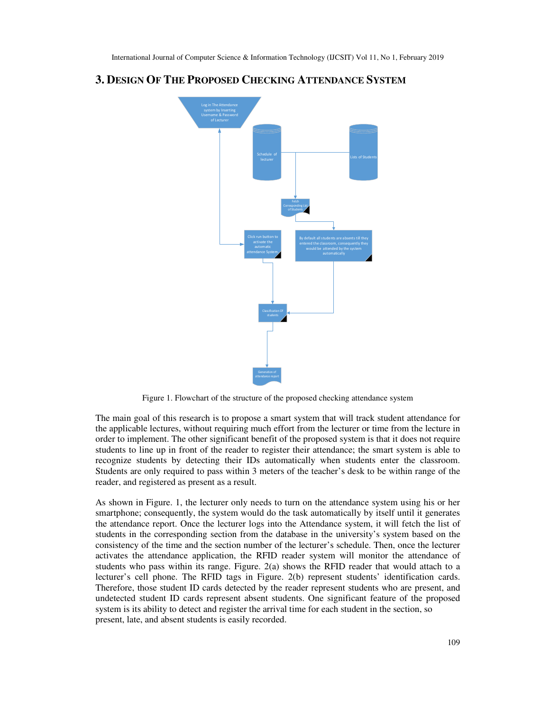# **3. DESIGN OF THE PROPOSED CHECKING ATTENDANCE SYSTEM**



Figure 1. Flowchart of the structure of the proposed checking attendance system

The main goal of this research is to propose a smart system that will track student attendance for the applicable lectures, without requiring much effort from the lecturer or time from the lecture in order to implement. The other significant benefit of the proposed system is that it does not require students to line up in front of the reader to register their attendance; the smart system is able to recognize students by detecting their IDs automatically when students enter the classroom. Students are only required to pass within 3 meters of the teacher's desk to be within range of the reader, and registered as present as a result.

As shown in Figure. 1, the lecturer only needs to turn on the attendance system using his or her smartphone; consequently, the system would do the task automatically by itself until it generates the attendance report. Once the lecturer logs into the Attendance system, it will fetch the list of students in the corresponding section from the database in the university's system based on the consistency of the time and the section number of the lecturer's schedule. Then, once the lecturer activates the attendance application, the RFID reader system will monitor the attendance of students who pass within its range. Figure. 2(a) shows the RFID reader that would attach to a lecturer's cell phone. The RFID tags in Figure. 2(b) represent students' identification cards. Therefore, those student ID cards detected by the reader represent students who are present, and undetected student ID cards represent absent students. One significant feature of the proposed system is its ability to detect and register the arrival time for each student in the section, so present, late, and absent students is easily recorded.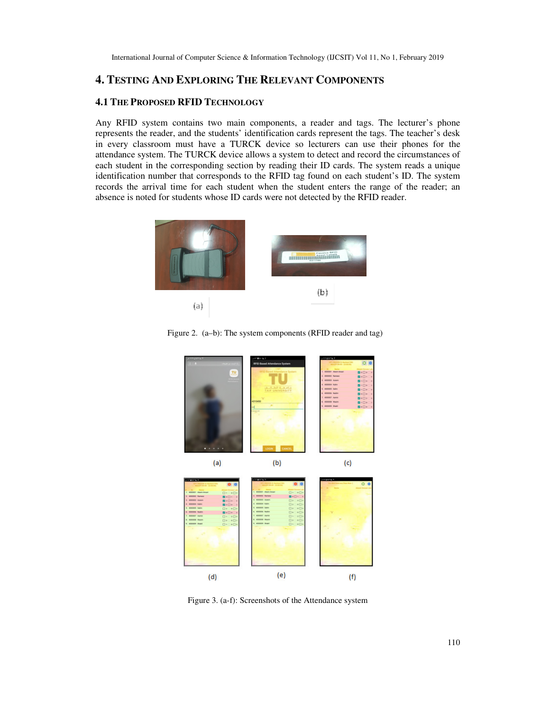# **4. TESTING AND EXPLORING THE RELEVANT COMPONENTS**

## **4.1 THE PROPOSED RFID TECHNOLOGY**

Any RFID system contains two main components, a reader and tags. The lecturer's phone represents the reader, and the students' identification cards represent the tags. The teacher's desk in every classroom must have a TURCK device so lecturers can use their phones for the attendance system. The TURCK device allows a system to detect and record the circumstances of each student in the corresponding section by reading their ID cards. The system reads a unique identification number that corresponds to the RFID tag found on each student's ID. The system records the arrival time for each student when the student enters the range of the reader; an absence is noted for students whose ID cards were not detected by the RFID reader.



Figure 2. (a–b): The system components (RFID reader and tag)



Figure 3. (a-f): Screenshots of the Attendance system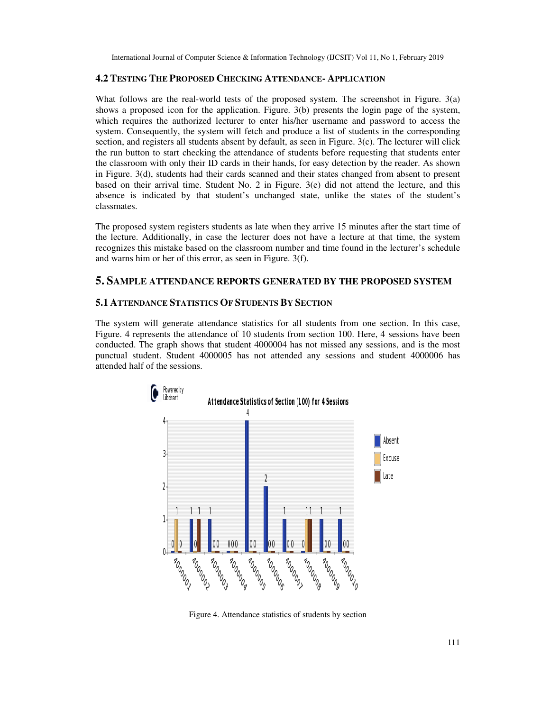#### **4.2 TESTING THE PROPOSED CHECKING ATTENDANCE- APPLICATION**

What follows are the real-world tests of the proposed system. The screenshot in Figure. 3(a) shows a proposed icon for the application. Figure. 3(b) presents the login page of the system, which requires the authorized lecturer to enter his/her username and password to access the system. Consequently, the system will fetch and produce a list of students in the corresponding section, and registers all students absent by default, as seen in Figure. 3(c). The lecturer will click the run button to start checking the attendance of students before requesting that students enter the classroom with only their ID cards in their hands, for easy detection by the reader. As shown in Figure. 3(d), students had their cards scanned and their states changed from absent to present based on their arrival time. Student No. 2 in Figure. 3(e) did not attend the lecture, and this absence is indicated by that student's unchanged state, unlike the states of the student's classmates.

The proposed system registers students as late when they arrive 15 minutes after the start time of the lecture. Additionally, in case the lecturer does not have a lecture at that time, the system recognizes this mistake based on the classroom number and time found in the lecturer's schedule and warns him or her of this error, as seen in Figure. 3(f).

## **5. SAMPLE ATTENDANCE REPORTS GENERATED BY THE PROPOSED SYSTEM**

#### **5.1 ATTENDANCE STATISTICS OF STUDENTS BY SECTION**

The system will generate attendance statistics for all students from one section. In this case, Figure. 4 represents the attendance of 10 students from section 100. Here, 4 sessions have been conducted. The graph shows that student 4000004 has not missed any sessions, and is the most punctual student. Student 4000005 has not attended any sessions and student 4000006 has attended half of the sessions.



Figure 4. Attendance statistics of students by section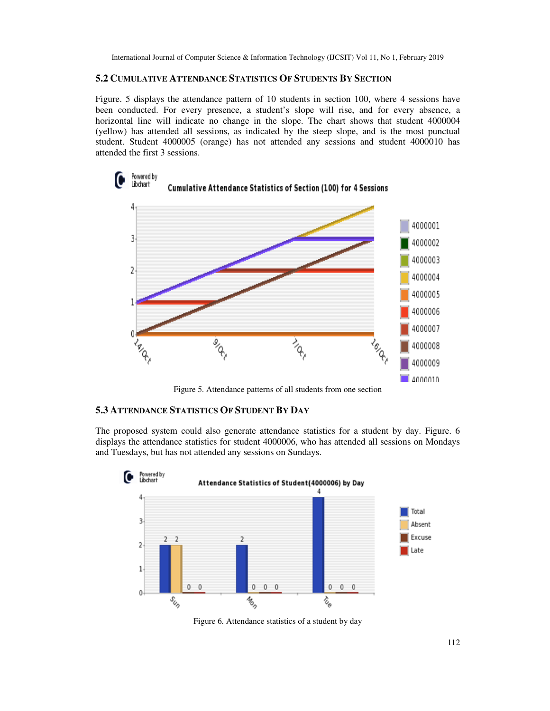# **5.2 CUMULATIVE ATTENDANCE STATISTICS OF STUDENTS BY SECTION**

Figure. 5 displays the attendance pattern of 10 students in section 100, where 4 sessions have been conducted. For every presence, a student's slope will rise, and for every absence, a horizontal line will indicate no change in the slope. The chart shows that student 4000004 (yellow) has attended all sessions, as indicated by the steep slope, and is the most punctual student. Student 4000005 (orange) has not attended any sessions and student 4000010 has attended the first 3 sessions.



Figure 5. Attendance patterns of all students from one section

## **5.3 ATTENDANCE STATISTICS OF STUDENT BY DAY**

The proposed system could also generate attendance statistics for a student by day. Figure. 6 displays the attendance statistics for student 4000006, who has attended all sessions on Mondays and Tuesdays, but has not attended any sessions on Sundays.



Figure 6. Attendance statistics of a student by day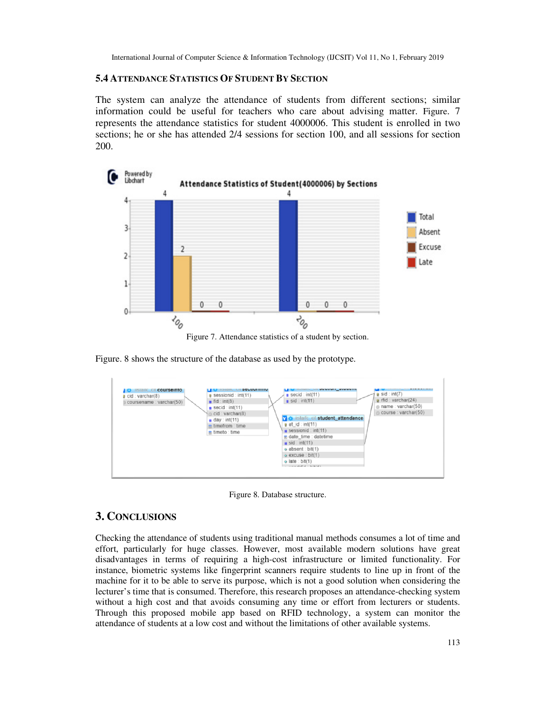# **5.4 ATTENDANCE STATISTICS OF STUDENT BY SECTION**

The system can analyze the attendance of students from different sections; similar information could be useful for teachers who care about advising matter. Figure. 7 represents the attendance statistics for student 4000006. This student is enrolled in two sections; he or she has attended 2/4 sessions for section 100, and all sessions for section 200.



Figure 7. Attendance statistics of a student by section.

Figure. 8 shows the structure of the database as used by the prototype.

| <b>MONGHL PHE SEPRIALIBILA</b><br><b>IIISTAITE CIT COUFSEINTO</b><br>a sessionid : int(11)<br>$\alpha$ cid : varchar(8)<br>$\blacksquare$ fid : int(8)<br>coursename : varchar(50)<br>$\#$ secid : int(11)<br>n cid : varchar(8)<br>$\#$ day : int(11)<br>m timefrom : time<br>$\blacksquare$ timeto : time | <u> DANALD DIN WWW.II MARAIL</u><br>$a$ sid : int(7)<br>$\bullet$ secid : int(11)<br>$\alpha$ rfid : varchar(24)<br>$\mathbf{u}$ sid : int(11)<br>mame: varchar(50)<br>course: varchar(50)<br><b>7 &amp; listailc cit student_attendance</b><br>$a$ at $id:int(11)$<br>$\mu$ sessionid : int(11)<br>$n$ date time : datetime<br>$\mathbf{u}$ sid : int(11)<br>$\omega$ absent: bit(1)<br>$\alpha$ excuse : bit(1)<br>$\omega$ late : bit(1)<br>a comment of all a decisions to |
|-------------------------------------------------------------------------------------------------------------------------------------------------------------------------------------------------------------------------------------------------------------------------------------------------------------|--------------------------------------------------------------------------------------------------------------------------------------------------------------------------------------------------------------------------------------------------------------------------------------------------------------------------------------------------------------------------------------------------------------------------------------------------------------------------------|
|-------------------------------------------------------------------------------------------------------------------------------------------------------------------------------------------------------------------------------------------------------------------------------------------------------------|--------------------------------------------------------------------------------------------------------------------------------------------------------------------------------------------------------------------------------------------------------------------------------------------------------------------------------------------------------------------------------------------------------------------------------------------------------------------------------|

Figure 8. Database structure.

# **3. CONCLUSIONS**

Checking the attendance of students using traditional manual methods consumes a lot of time and effort, particularly for huge classes. However, most available modern solutions have great disadvantages in terms of requiring a high-cost infrastructure or limited functionality. For instance, biometric systems like fingerprint scanners require students to line up in front of the machine for it to be able to serve its purpose, which is not a good solution when considering the lecturer's time that is consumed. Therefore, this research proposes an attendance-checking system without a high cost and that avoids consuming any time or effort from lecturers or students. Through this proposed mobile app based on RFID technology, a system can monitor the attendance of students at a low cost and without the limitations of other available systems.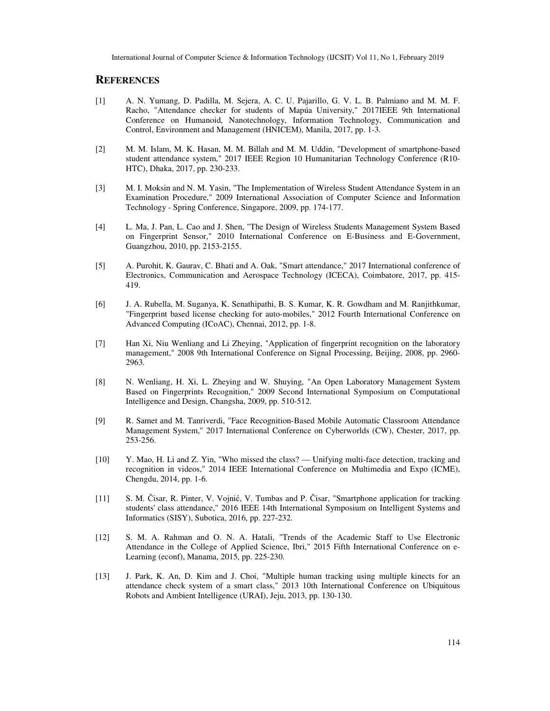# **REFERENCES**

- [1] A. N. Yumang, D. Padilla, M. Sejera, A. C. U. Pajarillo, G. V. L. B. Palmiano and M. M. F. Racho, "Attendance checker for students of Mapúa University," 2017IEEE 9th International Conference on Humanoid, Nanotechnology, Information Technology, Communication and Control, Environment and Management (HNICEM), Manila, 2017, pp. 1-3.
- [2] M. M. Islam, M. K. Hasan, M. M. Billah and M. M. Uddin, "Development of smartphone-based student attendance system," 2017 IEEE Region 10 Humanitarian Technology Conference (R10- HTC), Dhaka, 2017, pp. 230-233.
- [3] M. I. Moksin and N. M. Yasin, "The Implementation of Wireless Student Attendance System in an Examination Procedure," 2009 International Association of Computer Science and Information Technology - Spring Conference, Singapore, 2009, pp. 174-177.
- [4] L. Ma, J. Pan, L. Cao and J. Shen, "The Design of Wireless Students Management System Based on Fingerprint Sensor," 2010 International Conference on E-Business and E-Government, Guangzhou, 2010, pp. 2153-2155.
- [5] A. Purohit, K. Gaurav, C. Bhati and A. Oak, "Smart attendance," 2017 International conference of Electronics, Communication and Aerospace Technology (ICECA), Coimbatore, 2017, pp. 415- 419.
- [6] J. A. Rubella, M. Suganya, K. Senathipathi, B. S. Kumar, K. R. Gowdham and M. Ranjithkumar, "Fingerprint based license checking for auto-mobiles," 2012 Fourth International Conference on Advanced Computing (ICoAC), Chennai, 2012, pp. 1-8.
- [7] Han Xi, Niu Wenliang and Li Zheying, "Application of fingerprint recognition on the laboratory management," 2008 9th International Conference on Signal Processing, Beijing, 2008, pp. 2960- 2963.
- [8] N. Wenliang, H. Xi, L. Zheying and W. Shuying, "An Open Laboratory Management System Based on Fingerprints Recognition," 2009 Second International Symposium on Computational Intelligence and Design, Changsha, 2009, pp. 510-512.
- [9] R. Samet and M. Tanriverdi, "Face Recognition-Based Mobile Automatic Classroom Attendance Management System," 2017 International Conference on Cyberworlds (CW), Chester, 2017, pp. 253-256.
- [10] Y. Mao, H. Li and Z. Yin, "Who missed the class? Unifying multi-face detection, tracking and recognition in videos," 2014 IEEE International Conference on Multimedia and Expo (ICME), Chengdu, 2014, pp. 1-6.
- [11] S. M. Čisar, R. Pinter, V. Vojnić, V. Tumbas and P. Čisar, "Smartphone application for tracking students' class attendance," 2016 IEEE 14th International Symposium on Intelligent Systems and Informatics (SISY), Subotica, 2016, pp. 227-232.
- [12] S. M. A. Rahman and O. N. A. Hatali, "Trends of the Academic Staff to Use Electronic Attendance in the College of Applied Science, Ibri," 2015 Fifth International Conference on e-Learning (econf), Manama, 2015, pp. 225-230.
- [13] J. Park, K. An, D. Kim and J. Choi, "Multiple human tracking using multiple kinects for an attendance check system of a smart class," 2013 10th International Conference on Ubiquitous Robots and Ambient Intelligence (URAI), Jeju, 2013, pp. 130-130.